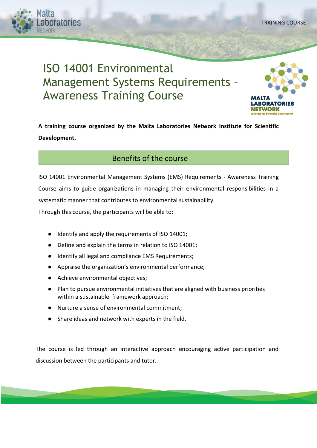ratories

# ISO 14001 Environmental Management Systems Requirements – Awareness Training Course



**A training course organized by the Malta Laboratories Network Institute for Scientific Development.**

## Benefits of the course

ISO 14001 Environmental Management Systems (EMS) Requirements - Awareness Training Course aims to guide organizations in managing their environmental responsibilities in a systematic manner that contributes to environmental sustainability.

Through this course, the participants will be able to:

- Identify and apply the requirements of ISO 14001;
- Define and explain the terms in relation to ISO 14001;
- Identify all legal and compliance EMS Requirements;
- Appraise the organization's environmental performance;
- Achieve environmental objectives;
- Plan to pursue environmental initiatives that are aligned with business priorities within a sustainable framework approach;
- Nurture a sense of environmental commitment;
- Share ideas and network with experts in the field.

The course is led through an interactive approach encouraging active participation and discussion between the participants and tutor.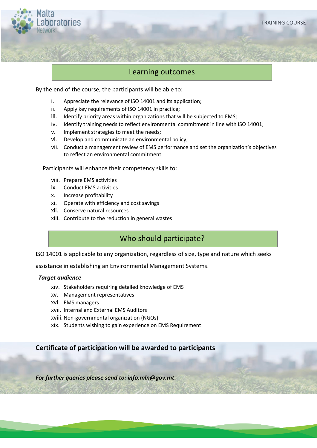

#### Learning outcomes

By the end of the course, the participants will be able to:

- i. Appreciate the relevance of ISO 14001 and its application;
- ii. Apply key requirements of ISO 14001 in practice;
- iii. Identify priority areas within organizations that will be subjected to EMS;
- iv. Identify training needs to reflect environmental commitment in line with ISO 14001;
- v. Implement strategies to meet the needs;
- vi. Develop and communicate an environmental policy;
- vii. Conduct a management review of EMS performance and set the organization's objectives to reflect an environmental commitment.

Participants will enhance their competency skills to:

- viii. Prepare EMS activities
- ix. Conduct EMS activities
- x. Increase profitability
- xi. Operate with efficiency and cost savings
- xii. Conserve natural resources
- xiii. Contribute to the reduction in general wastes

## Who should participate?

ISO 14001 is applicable to any organization, regardless of size, type and nature which seeks

assistance in establishing an Environmental Management Systems.

#### *Target audience*

- xiv. Stakeholders requiring detailed knowledge of EMS
- xv. Management representatives
- xvi. EMS managers
- xvii. Internal and External EMS Auditors
- xviii.Non-governmental organization (NGOs)
- xix. Students wishing to gain experience on EMS Requirement

#### **Certificate of participation will be awarded to participants**

*For further queries please send to: info.mln@gov.mt***.**